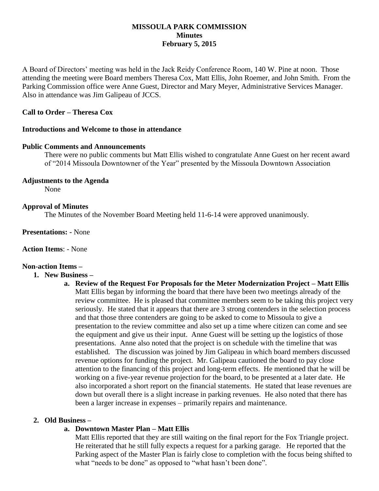## **MISSOULA PARK COMMISSION Minutes February 5, 2015**

A Board of Directors' meeting was held in the Jack Reidy Conference Room, 140 W. Pine at noon. Those attending the meeting were Board members Theresa Cox, Matt Ellis, John Roemer, and John Smith. From the Parking Commission office were Anne Guest, Director and Mary Meyer, Administrative Services Manager. Also in attendance was Jim Galipeau of JCCS.

## **Call to Order – Theresa Cox**

### **Introductions and Welcome to those in attendance**

### **Public Comments and Announcements**

There were no public comments but Matt Ellis wished to congratulate Anne Guest on her recent award of "2014 Missoula Downtowner of the Year" presented by the Missoula Downtown Association

## **Adjustments to the Agenda**

None

### **Approval of Minutes**

The Minutes of the November Board Meeting held 11-6-14 were approved unanimously.

**Presentations: -** None

**Action Items**: - None

# **Non-action Items –**

- **1. New Business –**
	- **a. Review of the Request For Proposals for the Meter Modernization Project – Matt Ellis** Matt Ellis began by informing the board that there have been two meetings already of the review committee. He is pleased that committee members seem to be taking this project very seriously. He stated that it appears that there are 3 strong contenders in the selection process and that those three contenders are going to be asked to come to Missoula to give a presentation to the review committee and also set up a time where citizen can come and see the equipment and give us their input. Anne Guest will be setting up the logistics of those presentations. Anne also noted that the project is on schedule with the timeline that was established. The discussion was joined by Jim Galipeau in which board members discussed revenue options for funding the project. Mr. Galipeau cautioned the board to pay close attention to the financing of this project and long-term effects. He mentioned that he will be working on a five-year revenue projection for the board, to be presented at a later date. He also incorporated a short report on the financial statements. He stated that lease revenues are down but overall there is a slight increase in parking revenues. He also noted that there has been a larger increase in expenses – primarily repairs and maintenance.

#### **2. Old Business –**

## **a. Downtown Master Plan – Matt Ellis**

Matt Ellis reported that they are still waiting on the final report for the Fox Triangle project. He reiterated that he still fully expects a request for a parking garage. He reported that the Parking aspect of the Master Plan is fairly close to completion with the focus being shifted to what "needs to be done" as opposed to "what hasn't been done".